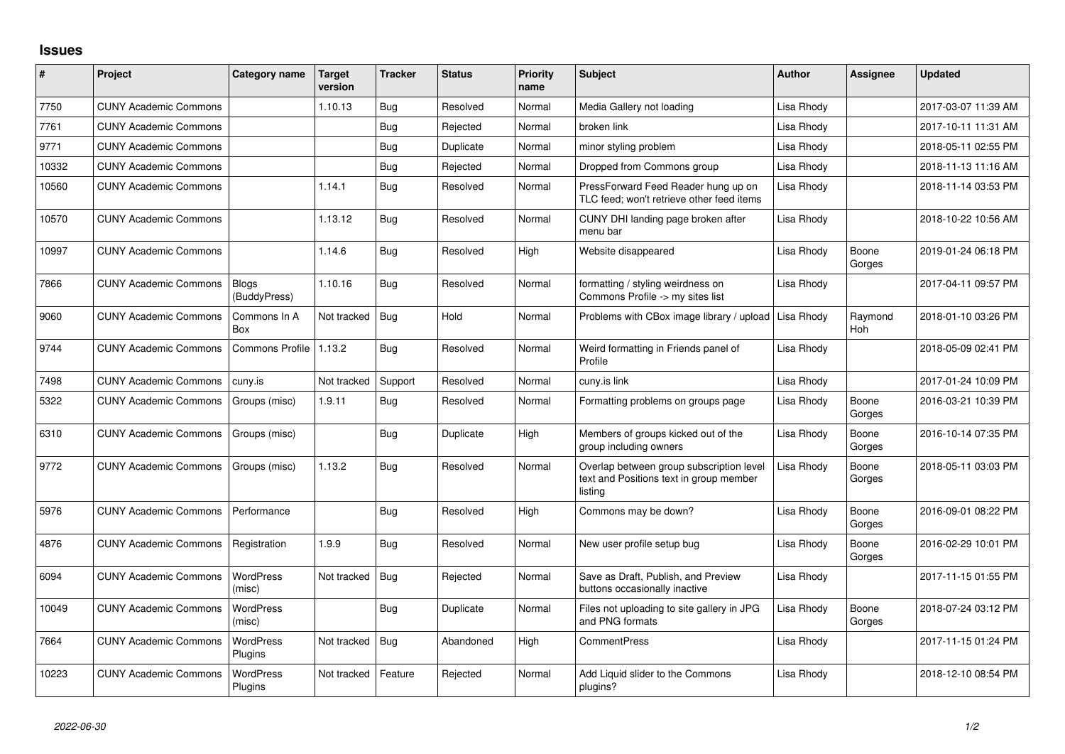## **Issues**

| #     | Project                      | Category name               | Target<br>version | <b>Tracker</b> | <b>Status</b> | <b>Priority</b><br>name | <b>Subject</b>                                                                                 | <b>Author</b> | <b>Assignee</b> | <b>Updated</b>      |
|-------|------------------------------|-----------------------------|-------------------|----------------|---------------|-------------------------|------------------------------------------------------------------------------------------------|---------------|-----------------|---------------------|
| 7750  | <b>CUNY Academic Commons</b> |                             | 1.10.13           | Bug            | Resolved      | Normal                  | Media Gallery not loading                                                                      | Lisa Rhody    |                 | 2017-03-07 11:39 AM |
| 7761  | <b>CUNY Academic Commons</b> |                             |                   | Bug            | Rejected      | Normal                  | broken link                                                                                    | Lisa Rhody    |                 | 2017-10-11 11:31 AM |
| 9771  | <b>CUNY Academic Commons</b> |                             |                   | Bug            | Duplicate     | Normal                  | minor styling problem                                                                          | Lisa Rhody    |                 | 2018-05-11 02:55 PM |
| 10332 | <b>CUNY Academic Commons</b> |                             |                   | Bug            | Rejected      | Normal                  | Dropped from Commons group                                                                     | Lisa Rhody    |                 | 2018-11-13 11:16 AM |
| 10560 | <b>CUNY Academic Commons</b> |                             | 1.14.1            | Bug            | Resolved      | Normal                  | PressForward Feed Reader hung up on<br>TLC feed; won't retrieve other feed items               | Lisa Rhody    |                 | 2018-11-14 03:53 PM |
| 10570 | <b>CUNY Academic Commons</b> |                             | 1.13.12           | Bug            | Resolved      | Normal                  | CUNY DHI landing page broken after<br>menu bar                                                 | Lisa Rhody    |                 | 2018-10-22 10:56 AM |
| 10997 | <b>CUNY Academic Commons</b> |                             | 1.14.6            | Bug            | Resolved      | High                    | Website disappeared                                                                            | Lisa Rhody    | Boone<br>Gorges | 2019-01-24 06:18 PM |
| 7866  | <b>CUNY Academic Commons</b> | Blogs<br>(BuddyPress)       | 1.10.16           | Bug            | Resolved      | Normal                  | formatting / styling weirdness on<br>Commons Profile -> my sites list                          | Lisa Rhody    |                 | 2017-04-11 09:57 PM |
| 9060  | <b>CUNY Academic Commons</b> | Commons In A<br>Box         | Not tracked       | <b>Bug</b>     | Hold          | Normal                  | Problems with CBox image library / upload                                                      | Lisa Rhody    | Raymond<br>Hoh  | 2018-01-10 03:26 PM |
| 9744  | <b>CUNY Academic Commons</b> | <b>Commons Profile</b>      | 1.13.2            | Bug            | Resolved      | Normal                  | Weird formatting in Friends panel of<br>Profile                                                | Lisa Rhody    |                 | 2018-05-09 02:41 PM |
| 7498  | <b>CUNY Academic Commons</b> | cuny.is                     | Not tracked       | Support        | Resolved      | Normal                  | cuny.is link                                                                                   | Lisa Rhody    |                 | 2017-01-24 10:09 PM |
| 5322  | <b>CUNY Academic Commons</b> | Groups (misc)               | 1.9.11            | Bug            | Resolved      | Normal                  | Formatting problems on groups page                                                             | Lisa Rhody    | Boone<br>Gorges | 2016-03-21 10:39 PM |
| 6310  | <b>CUNY Academic Commons</b> | Groups (misc)               |                   | Bug            | Duplicate     | High                    | Members of groups kicked out of the<br>group including owners                                  | Lisa Rhody    | Boone<br>Gorges | 2016-10-14 07:35 PM |
| 9772  | <b>CUNY Academic Commons</b> | Groups (misc)               | 1.13.2            | Bug            | Resolved      | Normal                  | Overlap between group subscription level<br>text and Positions text in group member<br>listing | Lisa Rhody    | Boone<br>Gorges | 2018-05-11 03:03 PM |
| 5976  | <b>CUNY Academic Commons</b> | Performance                 |                   | Bug            | Resolved      | High                    | Commons may be down?                                                                           | Lisa Rhody    | Boone<br>Gorges | 2016-09-01 08:22 PM |
| 4876  | <b>CUNY Academic Commons</b> | Registration                | 1.9.9             | Bug            | Resolved      | Normal                  | New user profile setup bug                                                                     | Lisa Rhody    | Boone<br>Gorges | 2016-02-29 10:01 PM |
| 6094  | <b>CUNY Academic Commons</b> | <b>WordPress</b><br>(misc)  | Not tracked       | Bug            | Rejected      | Normal                  | Save as Draft, Publish, and Preview<br>buttons occasionally inactive                           | Lisa Rhody    |                 | 2017-11-15 01:55 PM |
| 10049 | <b>CUNY Academic Commons</b> | <b>WordPress</b><br>(misc)  |                   | <b>Bug</b>     | Duplicate     | Normal                  | Files not uploading to site gallery in JPG<br>and PNG formats                                  | Lisa Rhody    | Boone<br>Gorges | 2018-07-24 03:12 PM |
| 7664  | <b>CUNY Academic Commons</b> | <b>WordPress</b><br>Plugins | Not tracked       | Bug            | Abandoned     | High                    | <b>CommentPress</b>                                                                            | Lisa Rhody    |                 | 2017-11-15 01:24 PM |
| 10223 | <b>CUNY Academic Commons</b> | <b>WordPress</b><br>Plugins | Not tracked       | Feature        | Rejected      | Normal                  | Add Liquid slider to the Commons<br>plugins?                                                   | Lisa Rhody    |                 | 2018-12-10 08:54 PM |